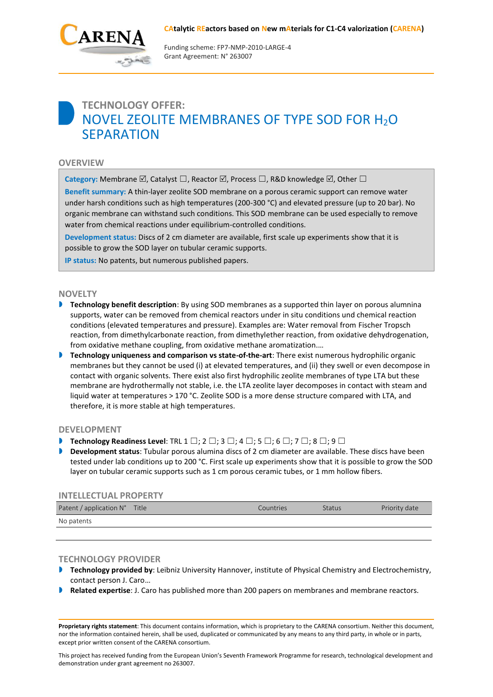

Funding scheme: FP7‐NMP‐2010‐LARGE‐4 Grant Agreement: N° 263007

# **TECHNOLOGY OFFER:** NOVEL ZEOLITE MEMBRANES OF TYPE SOD FOR H2O **SFPARATION**

# **OVERVIEW**

**Category:** Membrane  $\boxtimes$ , Catalyst  $\square$ , Reactor  $\boxtimes$ , Process  $\square$ , R&D knowledge  $\boxtimes$ , Other  $\square$ 

**Benefit summary:** A thin-layer zeolite SOD membrane on a porous ceramic support can remove water under harsh conditions such as high temperatures (200-300 °C) and elevated pressure (up to 20 bar). No organic membrane can withstand such conditions. This SOD membrane can be used especially to remove water from chemical reactions under equilibrium-controlled conditions.

**Development status:** Discs of 2 cm diameter are available, first scale up experiments show that it is possible to grow the SOD layer on tubular ceramic supports.

**IP status:** No patents, but numerous published papers.

#### **NOVELTY**

- **Technology benefit description**: By using SOD membranes as a supported thin layer on porous alumnina supports, water can be removed from chemical reactors under in situ conditions und chemical reaction conditions (elevated temperatures and pressure). Examples are: Water removal from Fischer Tropsch reaction, from dimethylcarbonate reaction, from dimethylether reaction, from oxidative dehydrogenation, from oxidative methane coupling, from oxidative methane aromatization.…
- **Technology uniqueness and comparison vs state-of-the-art**: There exist numerous hydrophilic organic membranes but they cannot be used (i) at elevated temperatures, and (ii) they swell or even decompose in contact with organic solvents. There exist also first hydrophilic zeolite membranes of type LTA but these membrane are hydrothermally not stable, i.e. the LTA zeolite layer decomposes in contact with steam and liquid water at temperatures > 170 °C. Zeolite SOD is a more dense structure compared with LTA, and therefore, it is more stable at high temperatures.

#### **DEVELOPMENT**

- **Technology Readiness Level**: TRL 1 ☐; 2 ☐; 3 ☐; 4 ☐; 5 ☐; 6 ☐; 7 ☐; 8 ☐; 9 ☐
- **Development status**: Tubular porous alumina discs of 2 cm diameter are available. These discs have been tested under lab conditions up to 200 °C. First scale up experiments show that it is possible to grow the SOD layer on tubular ceramic supports such as 1 cm porous ceramic tubes, or 1 mm hollow fibers.

## **INTELLECTUAL PROPERTY**

| Patent / application N° | Title | Countries <sup>1</sup> | <b>Status</b> | Priority date |
|-------------------------|-------|------------------------|---------------|---------------|
| No patents              |       |                        |               |               |

### **TECHNOLOGY PROVIDER**

- **Technology provided by**: Leibniz University Hannover, institute of Physical Chemistry and Electrochemistry, contact person J. Caro…
- **Related expertise**: J. Caro has published more than 200 papers on membranes and membrane reactors.

**Proprietary rights statement**: This document contains information, which is proprietary to the CARENA consortium. Neither this document, nor the information contained herein, shall be used, duplicated or communicated by any means to any third party, in whole or in parts, except prior written consent of the CARENA consortium.

This project has received funding from the European Union's Seventh Framework Programme for research, technological development and demonstration under grant agreement no 263007.